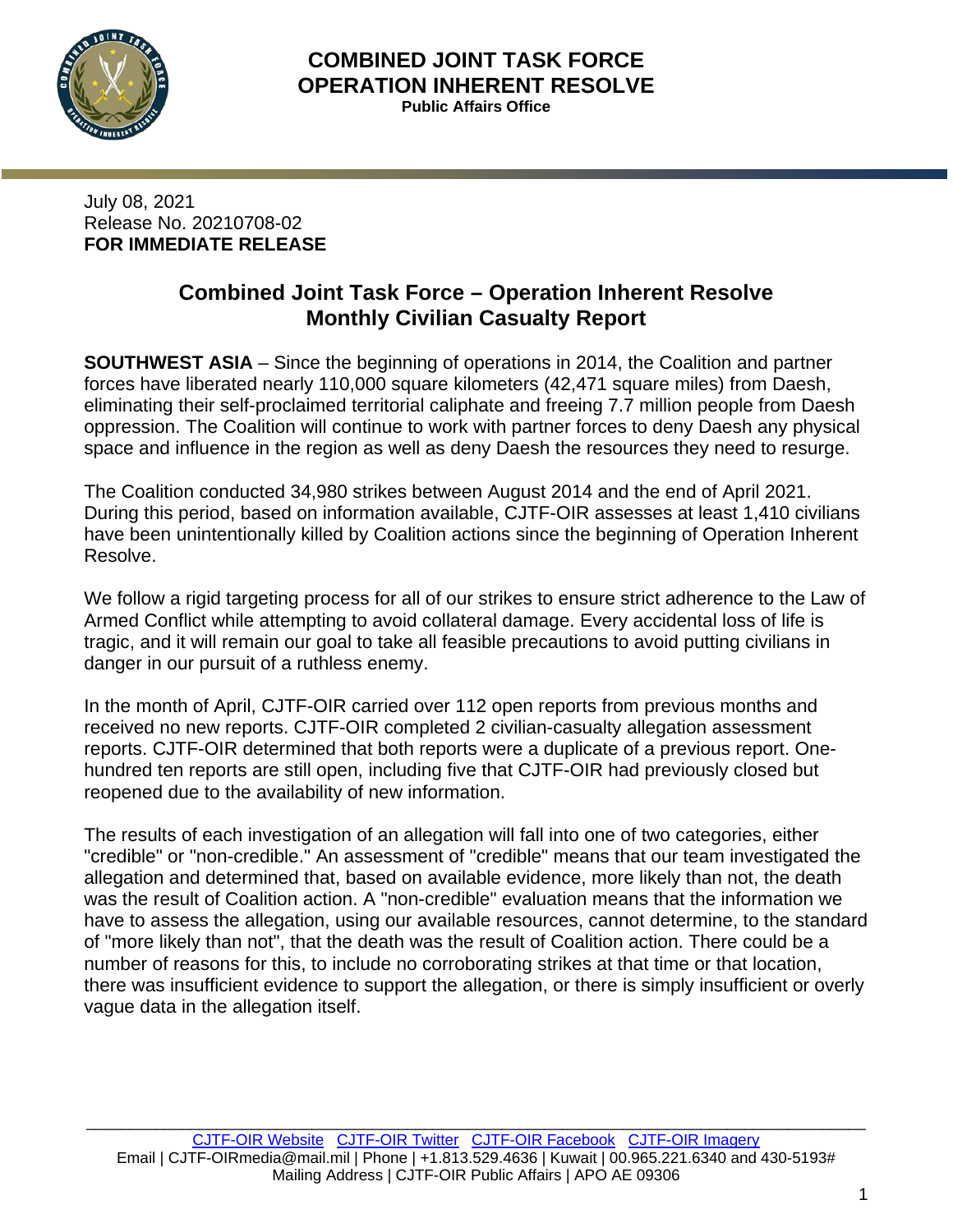

July 08, 2021 Release No. 20210708-02 **FOR IMMEDIATE RELEASE**

# **Combined Joint Task Force – Operation Inherent Resolve Monthly Civilian Casualty Report**

**SOUTHWEST ASIA** – Since the beginning of operations in 2014, the Coalition and partner forces have liberated nearly 110,000 square kilometers (42,471 square miles) from Daesh, eliminating their self-proclaimed territorial caliphate and freeing 7.7 million people from Daesh oppression. The Coalition will continue to work with partner forces to deny Daesh any physical space and influence in the region as well as deny Daesh the resources they need to resurge.

The Coalition conducted 34,980 strikes between August 2014 and the end of April 2021. During this period, based on information available, CJTF-OIR assesses at least 1,410 civilians have been unintentionally killed by Coalition actions since the beginning of Operation Inherent Resolve.

We follow a rigid targeting process for all of our strikes to ensure strict adherence to the Law of Armed Conflict while attempting to avoid collateral damage. Every accidental loss of life is tragic, and it will remain our goal to take all feasible precautions to avoid putting civilians in danger in our pursuit of a ruthless enemy.

In the month of April, CJTF-OIR carried over 112 open reports from previous months and received no new reports. CJTF-OIR completed 2 civilian-casualty allegation assessment reports. CJTF-OIR determined that both reports were a duplicate of a previous report. Onehundred ten reports are still open, including five that CJTF-OIR had previously closed but reopened due to the availability of new information.

The results of each investigation of an allegation will fall into one of two categories, either "credible" or "non-credible." An assessment of "credible" means that our team investigated the allegation and determined that, based on available evidence, more likely than not, the death was the result of Coalition action. A "non-credible" evaluation means that the information we have to assess the allegation, using our available resources, cannot determine, to the standard of "more likely than not", that the death was the result of Coalition action. There could be a number of reasons for this, to include no corroborating strikes at that time or that location, there was insufficient evidence to support the allegation, or there is simply insufficient or overly vague data in the allegation itself.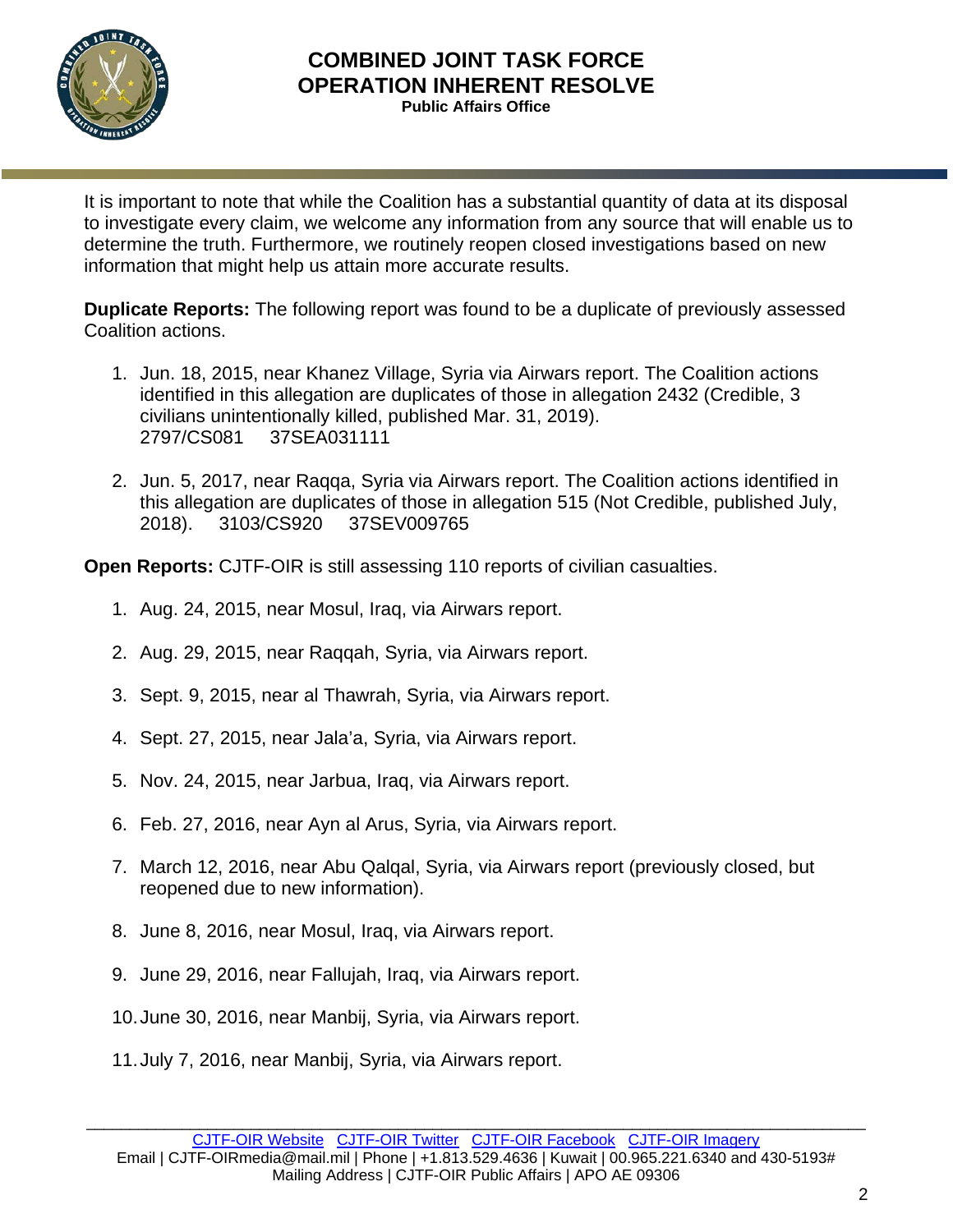

It is important to note that while the Coalition has a substantial quantity of data at its disposal to investigate every claim, we welcome any information from any source that will enable us to determine the truth. Furthermore, we routinely reopen closed investigations based on new information that might help us attain more accurate results.

**Duplicate Reports:** The following report was found to be a duplicate of previously assessed Coalition actions.

- 1. Jun. 18, 2015, near Khanez Village, Syria via Airwars report. The Coalition actions identified in this allegation are duplicates of those in allegation 2432 (Credible, 3 civilians unintentionally killed, published Mar. 31, 2019). 2797/CS081 37SEA031111
- 2. Jun. 5, 2017, near Raqqa, Syria via Airwars report. The Coalition actions identified in this allegation are duplicates of those in allegation 515 (Not Credible, published July, 2018). 3103/CS920 37SEV009765

**Open Reports:** CJTF-OIR is still assessing 110 reports of civilian casualties.

- 1. Aug. 24, 2015, near Mosul, Iraq, via Airwars report.
- 2. Aug. 29, 2015, near Raqqah, Syria, via Airwars report.
- 3. Sept. 9, 2015, near al Thawrah, Syria, via Airwars report.
- 4. Sept. 27, 2015, near Jala'a, Syria, via Airwars report.
- 5. Nov. 24, 2015, near Jarbua, Iraq, via Airwars report.
- 6. Feb. 27, 2016, near Ayn al Arus, Syria, via Airwars report.
- 7. March 12, 2016, near Abu Qalqal, Syria, via Airwars report (previously closed, but reopened due to new information).
- 8. June 8, 2016, near Mosul, Iraq, via Airwars report.
- 9. June 29, 2016, near Fallujah, Iraq, via Airwars report.
- 10.June 30, 2016, near Manbij, Syria, via Airwars report.
- 11.July 7, 2016, near Manbij, Syria, via Airwars report.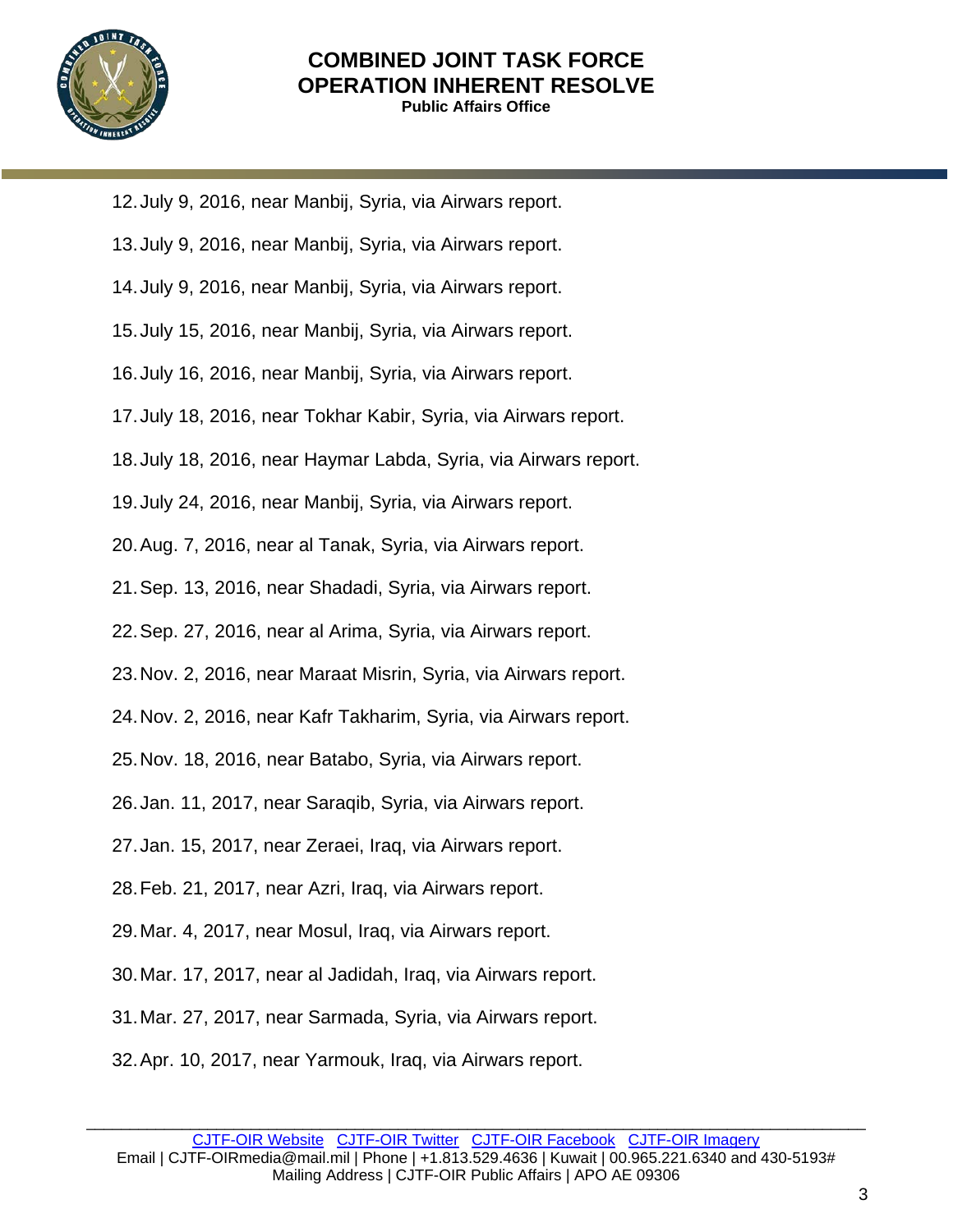

- 12.July 9, 2016, near Manbij, Syria, via Airwars report.
- 13.July 9, 2016, near Manbij, Syria, via Airwars report.
- 14.July 9, 2016, near Manbij, Syria, via Airwars report.
- 15.July 15, 2016, near Manbij, Syria, via Airwars report.
- 16.July 16, 2016, near Manbij, Syria, via Airwars report.
- 17.July 18, 2016, near Tokhar Kabir, Syria, via Airwars report.
- 18.July 18, 2016, near Haymar Labda, Syria, via Airwars report.
- 19.July 24, 2016, near Manbij, Syria, via Airwars report.
- 20.Aug. 7, 2016, near al Tanak, Syria, via Airwars report.
- 21.Sep. 13, 2016, near Shadadi, Syria, via Airwars report.
- 22.Sep. 27, 2016, near al Arima, Syria, via Airwars report.
- 23.Nov. 2, 2016, near Maraat Misrin, Syria, via Airwars report.
- 24.Nov. 2, 2016, near Kafr Takharim, Syria, via Airwars report.
- 25.Nov. 18, 2016, near Batabo, Syria, via Airwars report.
- 26.Jan. 11, 2017, near Saraqib, Syria, via Airwars report.
- 27.Jan. 15, 2017, near Zeraei, Iraq, via Airwars report.
- 28.Feb. 21, 2017, near Azri, Iraq, via Airwars report.
- 29.Mar. 4, 2017, near Mosul, Iraq, via Airwars report.
- 30.Mar. 17, 2017, near al Jadidah, Iraq, via Airwars report.
- 31.Mar. 27, 2017, near Sarmada, Syria, via Airwars report.
- 32.Apr. 10, 2017, near Yarmouk, Iraq, via Airwars report.

\_\_\_\_\_\_\_\_\_\_\_\_\_\_\_\_\_\_\_\_\_\_\_\_\_\_\_\_\_\_\_\_\_\_\_\_\_\_\_\_\_\_\_\_\_\_\_\_\_\_\_\_\_\_\_\_\_\_\_\_\_\_\_\_\_\_\_\_\_\_\_\_\_\_\_\_\_\_\_\_\_\_\_\_\_\_\_\_\_\_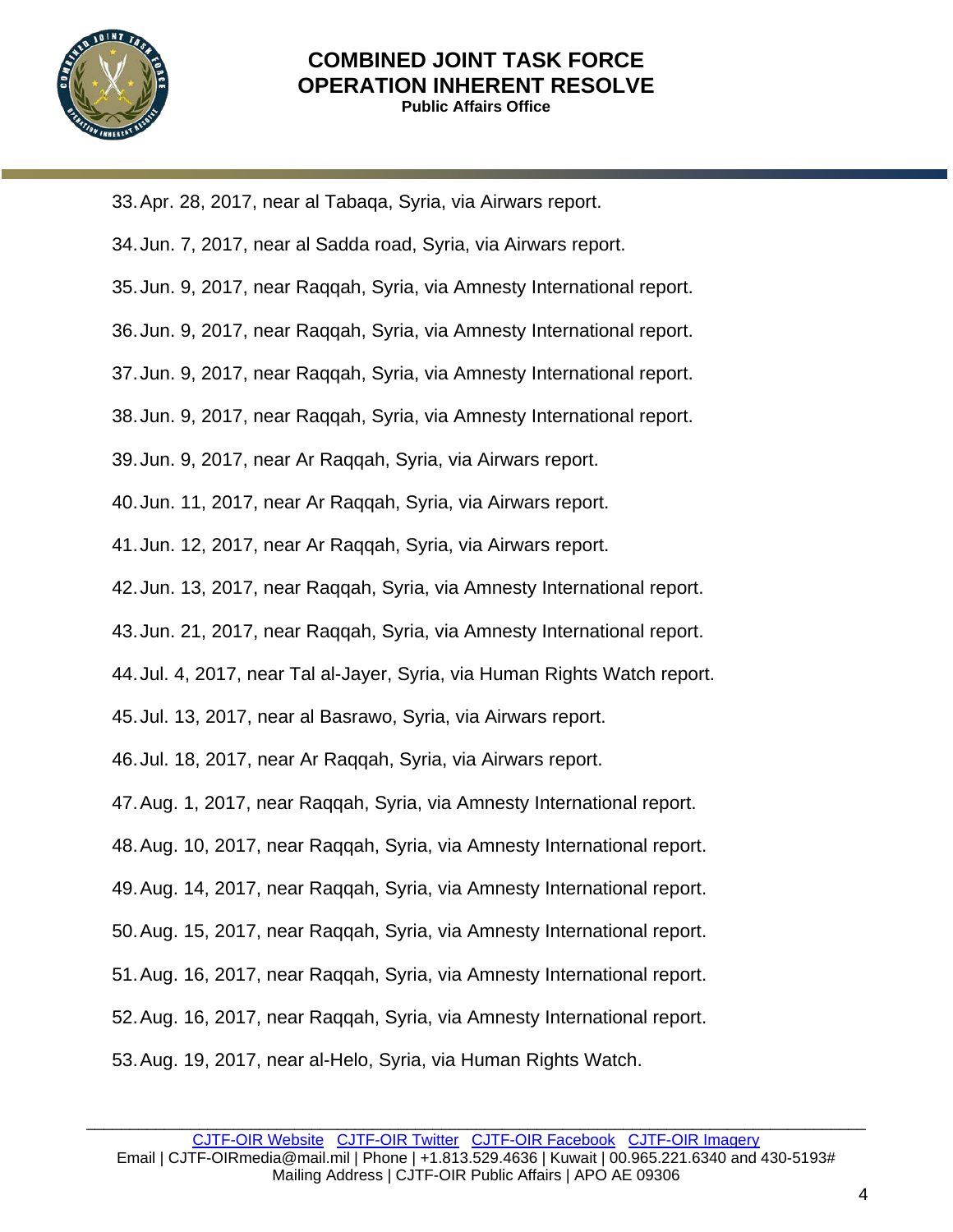

33.Apr. 28, 2017, near al Tabaqa, Syria, via Airwars report.

- 34.Jun. 7, 2017, near al Sadda road, Syria, via Airwars report.
- 35.Jun. 9, 2017, near Raqqah, Syria, via Amnesty International report.
- 36.Jun. 9, 2017, near Raqqah, Syria, via Amnesty International report.
- 37.Jun. 9, 2017, near Raqqah, Syria, via Amnesty International report.

38.Jun. 9, 2017, near Raqqah, Syria, via Amnesty International report.

39.Jun. 9, 2017, near Ar Raqqah, Syria, via Airwars report.

40.Jun. 11, 2017, near Ar Raqqah, Syria, via Airwars report.

41.Jun. 12, 2017, near Ar Raqqah, Syria, via Airwars report.

42.Jun. 13, 2017, near Raqqah, Syria, via Amnesty International report.

43.Jun. 21, 2017, near Raqqah, Syria, via Amnesty International report.

44.Jul. 4, 2017, near Tal al-Jayer, Syria, via Human Rights Watch report.

45.Jul. 13, 2017, near al Basrawo, Syria, via Airwars report.

46.Jul. 18, 2017, near Ar Raqqah, Syria, via Airwars report.

47.Aug. 1, 2017, near Raqqah, Syria, via Amnesty International report.

48.Aug. 10, 2017, near Raqqah, Syria, via Amnesty International report.

49.Aug. 14, 2017, near Raqqah, Syria, via Amnesty International report.

- 50.Aug. 15, 2017, near Raqqah, Syria, via Amnesty International report.
- 51.Aug. 16, 2017, near Raqqah, Syria, via Amnesty International report.

52.Aug. 16, 2017, near Raqqah, Syria, via Amnesty International report.

53.Aug. 19, 2017, near al-Helo, Syria, via Human Rights Watch.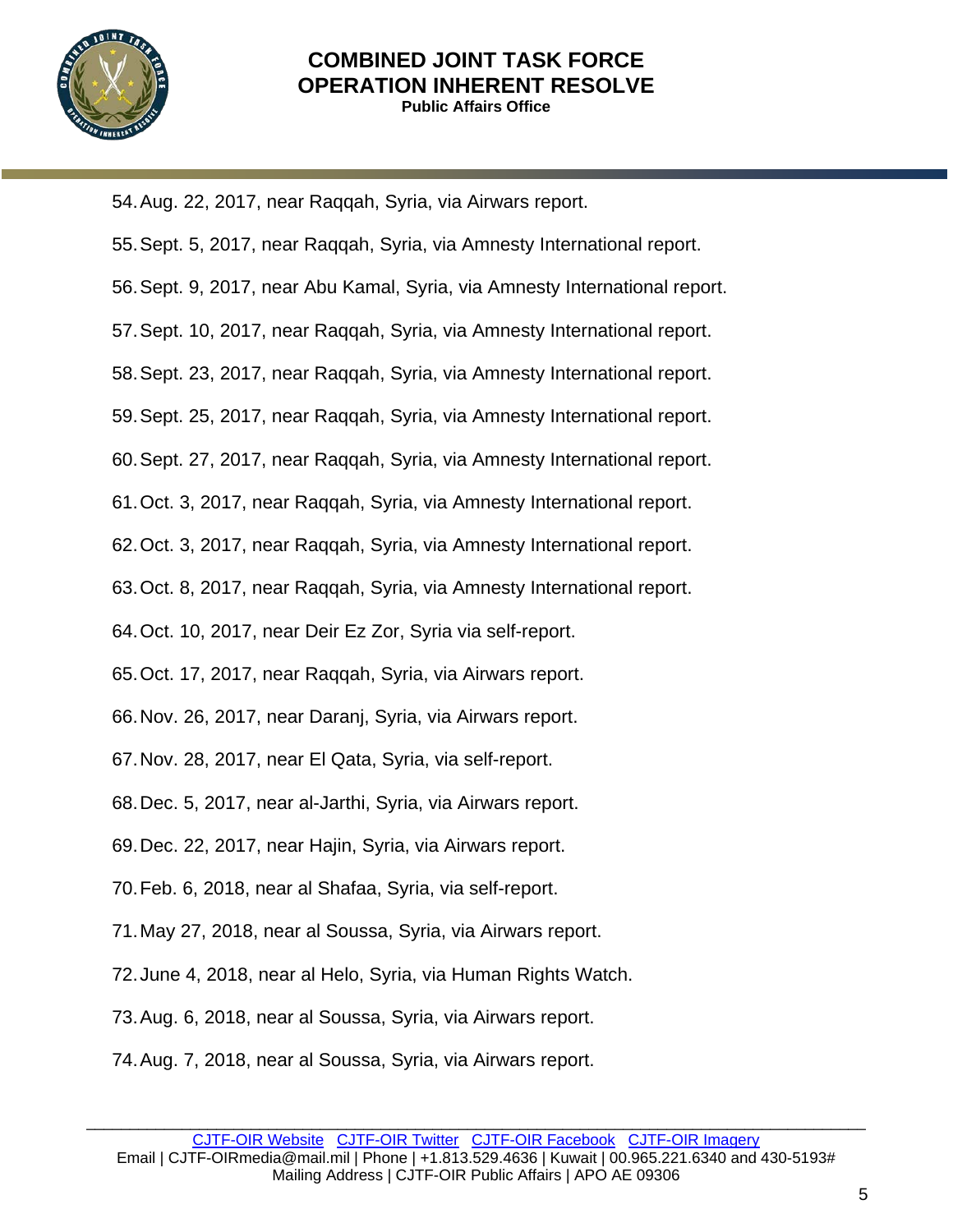

|  |  | 54. Aug. 22, 2017, near Raqqah, Syria, via Airwars report. |  |  |
|--|--|------------------------------------------------------------|--|--|
|  |  |                                                            |  |  |

- 55.Sept. 5, 2017, near Raqqah, Syria, via Amnesty International report.
- 56.Sept. 9, 2017, near Abu Kamal, Syria, via Amnesty International report.
- 57.Sept. 10, 2017, near Raqqah, Syria, via Amnesty International report.
- 58.Sept. 23, 2017, near Raqqah, Syria, via Amnesty International report.
- 59.Sept. 25, 2017, near Raqqah, Syria, via Amnesty International report.
- 60.Sept. 27, 2017, near Raqqah, Syria, via Amnesty International report.
- 61.Oct. 3, 2017, near Raqqah, Syria, via Amnesty International report.
- 62.Oct. 3, 2017, near Raqqah, Syria, via Amnesty International report.
- 63.Oct. 8, 2017, near Raqqah, Syria, via Amnesty International report.
- 64.Oct. 10, 2017, near Deir Ez Zor, Syria via self-report.
- 65.Oct. 17, 2017, near Raqqah, Syria, via Airwars report.
- 66.Nov. 26, 2017, near Daranj, Syria, via Airwars report.
- 67.Nov. 28, 2017, near El Qata, Syria, via self-report.
- 68.Dec. 5, 2017, near al-Jarthi, Syria, via Airwars report.
- 69.Dec. 22, 2017, near Hajin, Syria, via Airwars report.
- 70.Feb. 6, 2018, near al Shafaa, Syria, via self-report.
- 71.May 27, 2018, near al Soussa, Syria, via Airwars report.
- 72.June 4, 2018, near al Helo, Syria, via Human Rights Watch.
- 73.Aug. 6, 2018, near al Soussa, Syria, via Airwars report.
- 74.Aug. 7, 2018, near al Soussa, Syria, via Airwars report.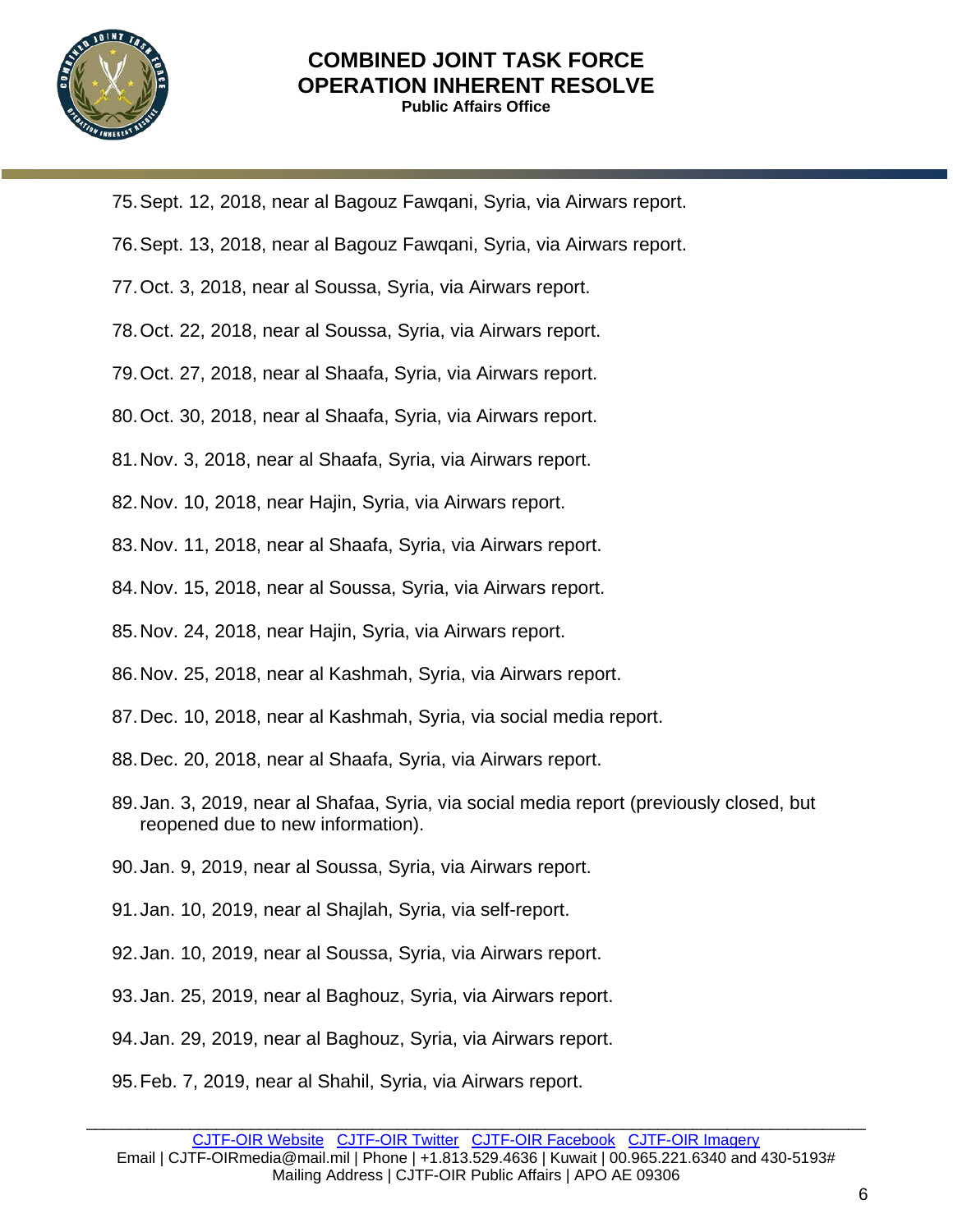

75.Sept. 12, 2018, near al Bagouz Fawqani, Syria, via Airwars report.

- 76.Sept. 13, 2018, near al Bagouz Fawqani, Syria, via Airwars report.
- 77.Oct. 3, 2018, near al Soussa, Syria, via Airwars report.
- 78.Oct. 22, 2018, near al Soussa, Syria, via Airwars report.
- 79.Oct. 27, 2018, near al Shaafa, Syria, via Airwars report.

80.Oct. 30, 2018, near al Shaafa, Syria, via Airwars report.

81.Nov. 3, 2018, near al Shaafa, Syria, via Airwars report.

- 82.Nov. 10, 2018, near Hajin, Syria, via Airwars report.
- 83.Nov. 11, 2018, near al Shaafa, Syria, via Airwars report.
- 84.Nov. 15, 2018, near al Soussa, Syria, via Airwars report.
- 85.Nov. 24, 2018, near Hajin, Syria, via Airwars report.
- 86.Nov. 25, 2018, near al Kashmah, Syria, via Airwars report.
- 87.Dec. 10, 2018, near al Kashmah, Syria, via social media report.
- 88.Dec. 20, 2018, near al Shaafa, Syria, via Airwars report.
- 89.Jan. 3, 2019, near al Shafaa, Syria, via social media report (previously closed, but reopened due to new information).
- 90.Jan. 9, 2019, near al Soussa, Syria, via Airwars report.
- 91.Jan. 10, 2019, near al Shajlah, Syria, via self-report.
- 92.Jan. 10, 2019, near al Soussa, Syria, via Airwars report.
- 93.Jan. 25, 2019, near al Baghouz, Syria, via Airwars report.
- 94.Jan. 29, 2019, near al Baghouz, Syria, via Airwars report.
- 95.Feb. 7, 2019, near al Shahil, Syria, via Airwars report.